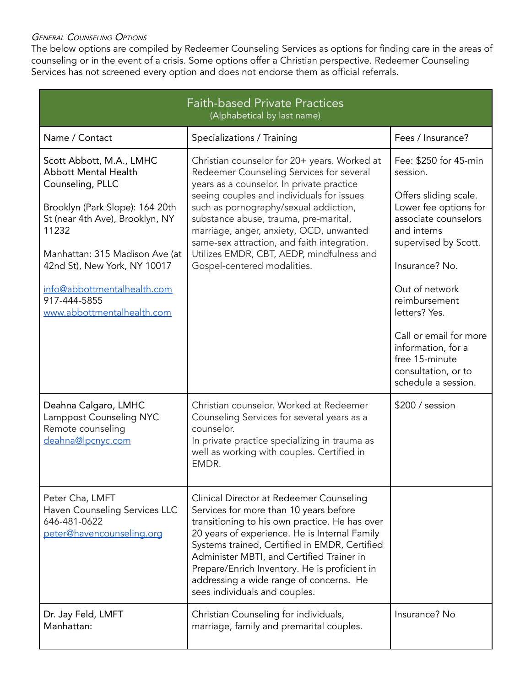## **GENERAL COUNSELING OPTIONS**

The below options are compiled by Redeemer Counseling Services as options for finding care in the areas of counseling or in the event of a crisis. Some options offer a Christian perspective. Redeemer Counseling Services has not screened every option and does not endorse them as official referrals.

| <b>Faith-based Private Practices</b><br>(Alphabetical by last name)                                                                                                                                                                                                                                       |                                                                                                                                                                                                                                                                                                                                                                                                                                            |                                                                                                                                                                                                                                                                                                                                          |
|-----------------------------------------------------------------------------------------------------------------------------------------------------------------------------------------------------------------------------------------------------------------------------------------------------------|--------------------------------------------------------------------------------------------------------------------------------------------------------------------------------------------------------------------------------------------------------------------------------------------------------------------------------------------------------------------------------------------------------------------------------------------|------------------------------------------------------------------------------------------------------------------------------------------------------------------------------------------------------------------------------------------------------------------------------------------------------------------------------------------|
| Name / Contact                                                                                                                                                                                                                                                                                            | Specializations / Training                                                                                                                                                                                                                                                                                                                                                                                                                 | Fees / Insurance?                                                                                                                                                                                                                                                                                                                        |
| Scott Abbott, M.A., LMHC<br><b>Abbott Mental Health</b><br>Counseling, PLLC<br>Brooklyn (Park Slope): 164 20th<br>St (near 4th Ave), Brooklyn, NY<br>11232<br>Manhattan: 315 Madison Ave (at<br>42nd St), New York, NY 10017<br>info@abbottmentalhealth.com<br>917-444-5855<br>www.abbottmentalhealth.com | Christian counselor for 20+ years. Worked at<br>Redeemer Counseling Services for several<br>years as a counselor. In private practice<br>seeing couples and individuals for issues<br>such as pornography/sexual addiction,<br>substance abuse, trauma, pre-marital,<br>marriage, anger, anxiety, OCD, unwanted<br>same-sex attraction, and faith integration.<br>Utilizes EMDR, CBT, AEDP, mindfulness and<br>Gospel-centered modalities. | Fee: \$250 for 45-min<br>session.<br>Offers sliding scale.<br>Lower fee options for<br>associate counselors<br>and interns<br>supervised by Scott.<br>Insurance? No.<br>Out of network<br>reimbursement<br>letters? Yes.<br>Call or email for more<br>information, for a<br>free 15-minute<br>consultation, or to<br>schedule a session. |
| Deahna Calgaro, LMHC<br>Lamppost Counseling NYC<br>Remote counseling<br>deahna@lpcnyc.com                                                                                                                                                                                                                 | Christian counselor. Worked at Redeemer<br>Counseling Services for several years as a<br>counselor.<br>In private practice specializing in trauma as<br>well as working with couples. Certified in<br>EMDR.                                                                                                                                                                                                                                | \$200 / session                                                                                                                                                                                                                                                                                                                          |
| Peter Cha, LMFT<br>Haven Counseling Services LLC<br>646-481-0622<br>peter@havencounseling.org                                                                                                                                                                                                             | Clinical Director at Redeemer Counseling<br>Services for more than 10 years before<br>transitioning to his own practice. He has over<br>20 years of experience. He is Internal Family<br>Systems trained, Certified in EMDR, Certified<br>Administer MBTI, and Certified Trainer in<br>Prepare/Enrich Inventory. He is proficient in<br>addressing a wide range of concerns. He<br>sees individuals and couples.                           |                                                                                                                                                                                                                                                                                                                                          |
| Dr. Jay Feld, LMFT<br>Manhattan:                                                                                                                                                                                                                                                                          | Christian Counseling for individuals,<br>marriage, family and premarital couples.                                                                                                                                                                                                                                                                                                                                                          | Insurance? No                                                                                                                                                                                                                                                                                                                            |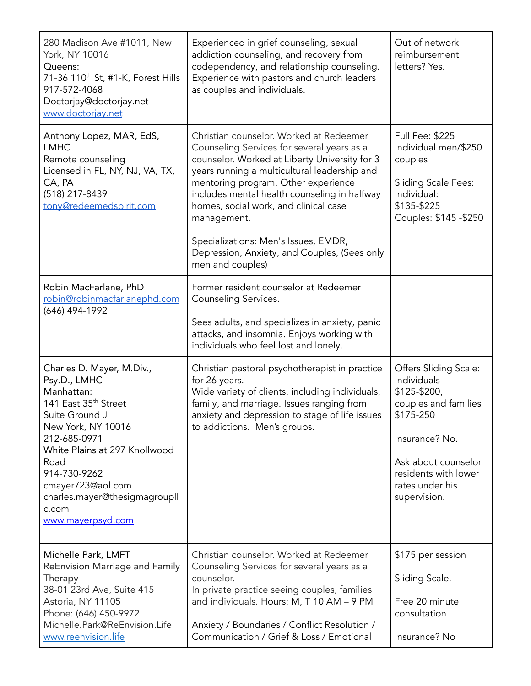| 280 Madison Ave #1011, New<br>York, NY 10016<br>Queens:<br>71-36 110 <sup>th</sup> St, #1-K, Forest Hills<br>917-572-4068<br>Doctorjay@doctorjay.net<br>www.doctorjay.net                                                                                                                        | Experienced in grief counseling, sexual<br>addiction counseling, and recovery from<br>codependency, and relationship counseling.<br>Experience with pastors and church leaders<br>as couples and individuals.                                                                                                                                                                                                                                     | Out of network<br>reimbursement<br>letters? Yes.                                                                                                                                              |
|--------------------------------------------------------------------------------------------------------------------------------------------------------------------------------------------------------------------------------------------------------------------------------------------------|---------------------------------------------------------------------------------------------------------------------------------------------------------------------------------------------------------------------------------------------------------------------------------------------------------------------------------------------------------------------------------------------------------------------------------------------------|-----------------------------------------------------------------------------------------------------------------------------------------------------------------------------------------------|
| Anthony Lopez, MAR, EdS,<br><b>LMHC</b><br>Remote counseling<br>Licensed in FL, NY, NJ, VA, TX,<br>CA, PA<br>(518) 217-8439<br>tony@redeemedspirit.com                                                                                                                                           | Christian counselor. Worked at Redeemer<br>Counseling Services for several years as a<br>counselor. Worked at Liberty University for 3<br>years running a multicultural leadership and<br>mentoring program. Other experience<br>includes mental health counseling in halfway<br>homes, social work, and clinical case<br>management.<br>Specializations: Men's Issues, EMDR,<br>Depression, Anxiety, and Couples, (Sees only<br>men and couples) | <b>Full Fee: \$225</b><br>Individual men/\$250<br>couples<br><b>Sliding Scale Fees:</b><br>Individual:<br>\$135-\$225<br>Couples: \$145 - \$250                                               |
| Robin MacFarlane, PhD<br>robin@robinmacfarlanephd.com<br>(646) 494-1992                                                                                                                                                                                                                          | Former resident counselor at Redeemer<br>Counseling Services.<br>Sees adults, and specializes in anxiety, panic<br>attacks, and insomnia. Enjoys working with<br>individuals who feel lost and lonely.                                                                                                                                                                                                                                            |                                                                                                                                                                                               |
| Charles D. Mayer, M.Div.,<br>Psy.D., LMHC<br>Manhattan:<br>141 East 35 <sup>th</sup> Street<br>Suite Ground J<br>New York, NY 10016<br>212-685-0971<br>White Plains at 297 Knollwood<br>Road<br>914-730-9262<br>cmayer723@aol.com<br>charles.mayer@thesigmagroupll<br>c.com<br>www.mayerpsyd.com | Christian pastoral psychotherapist in practice<br>for 26 years.<br>Wide variety of clients, including individuals,<br>family, and marriage. Issues ranging from<br>anxiety and depression to stage of life issues<br>to addictions. Men's groups.                                                                                                                                                                                                 | Offers Sliding Scale:<br>Individuals<br>\$125-\$200,<br>couples and families<br>\$175-250<br>Insurance? No.<br>Ask about counselor<br>residents with lower<br>rates under his<br>supervision. |
| Michelle Park, LMFT<br>ReEnvision Marriage and Family<br>Therapy<br>38-01 23rd Ave, Suite 415<br>Astoria, NY 11105<br>Phone: (646) 450-9972<br>Michelle.Park@ReEnvision.Life<br>www.reenvision.life                                                                                              | Christian counselor. Worked at Redeemer<br>Counseling Services for several years as a<br>counselor.<br>In private practice seeing couples, families<br>and individuals. Hours: M, T 10 AM - 9 PM<br>Anxiety / Boundaries / Conflict Resolution /<br>Communication / Grief & Loss / Emotional                                                                                                                                                      | \$175 per session<br>Sliding Scale.<br>Free 20 minute<br>consultation<br>Insurance? No                                                                                                        |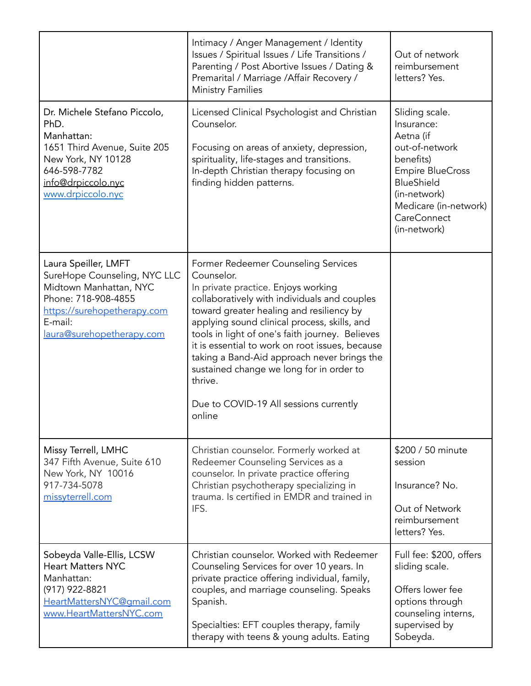|                                                                                                                                                                              | Intimacy / Anger Management / Identity<br>Issues / Spiritual Issues / Life Transitions /<br>Parenting / Post Abortive Issues / Dating &<br>Premarital / Marriage / Affair Recovery /<br><b>Ministry Families</b>                                                                                                                                                                                                                                                                                     | Out of network<br>reimbursement<br>letters? Yes.                                                                                                                                                        |
|------------------------------------------------------------------------------------------------------------------------------------------------------------------------------|------------------------------------------------------------------------------------------------------------------------------------------------------------------------------------------------------------------------------------------------------------------------------------------------------------------------------------------------------------------------------------------------------------------------------------------------------------------------------------------------------|---------------------------------------------------------------------------------------------------------------------------------------------------------------------------------------------------------|
| Dr. Michele Stefano Piccolo,<br>PhD.<br>Manhattan:<br>1651 Third Avenue, Suite 205<br>New York, NY 10128<br>646-598-7782<br>info@drpiccolo.nyc<br>www.drpiccolo.nyc          | Licensed Clinical Psychologist and Christian<br>Counselor.<br>Focusing on areas of anxiety, depression,<br>spirituality, life-stages and transitions.<br>In-depth Christian therapy focusing on<br>finding hidden patterns.                                                                                                                                                                                                                                                                          | Sliding scale.<br>Insurance:<br>Aetna (if<br>out-of-network<br>benefits)<br><b>Empire BlueCross</b><br><b>BlueShield</b><br>(in-network)<br>Medicare (in-network)<br><b>CareConnect</b><br>(in-network) |
| Laura Speiller, LMFT<br>SureHope Counseling, NYC LLC<br>Midtown Manhattan, NYC<br>Phone: 718-908-4855<br>https://surehopetherapy.com<br>E-mail:<br>laura@surehopetherapy.com | Former Redeemer Counseling Services<br>Counselor.<br>In private practice. Enjoys working<br>collaboratively with individuals and couples<br>toward greater healing and resiliency by<br>applying sound clinical process, skills, and<br>tools in light of one's faith journey. Believes<br>it is essential to work on root issues, because<br>taking a Band-Aid approach never brings the<br>sustained change we long for in order to<br>thrive.<br>Due to COVID-19 All sessions currently<br>online |                                                                                                                                                                                                         |
| Missy Terrell, LMHC<br>347 Fifth Avenue, Suite 610<br>New York, NY 10016<br>917-734-5078<br>missyterrell.com                                                                 | Christian counselor. Formerly worked at<br>Redeemer Counseling Services as a<br>counselor. In private practice offering<br>Christian psychotherapy specializing in<br>trauma. Is certified in EMDR and trained in<br>IFS.                                                                                                                                                                                                                                                                            | \$200 / 50 minute<br>session<br>Insurance? No.<br>Out of Network<br>reimbursement<br>letters? Yes.                                                                                                      |
| Sobeyda Valle-Ellis, LCSW<br><b>Heart Matters NYC</b><br>Manhattan:<br>(917) 922-8821<br>HeartMattersNYC@qmail.com<br>www.HeartMattersNYC.com                                | Christian counselor. Worked with Redeemer<br>Counseling Services for over 10 years. In<br>private practice offering individual, family,<br>couples, and marriage counseling. Speaks<br>Spanish.<br>Specialties: EFT couples therapy, family<br>therapy with teens & young adults. Eating                                                                                                                                                                                                             | Full fee: \$200, offers<br>sliding scale.<br>Offers lower fee<br>options through<br>counseling interns,<br>supervised by<br>Sobeyda.                                                                    |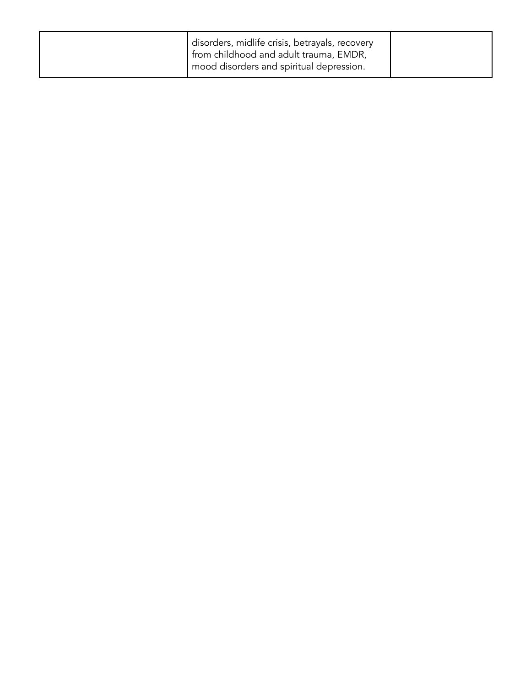| disorders, midlife crisis, betrayals, recovery<br>from childhood and adult trauma, EMDR,<br>I mood disorders and spiritual depression. |  |
|----------------------------------------------------------------------------------------------------------------------------------------|--|
|                                                                                                                                        |  |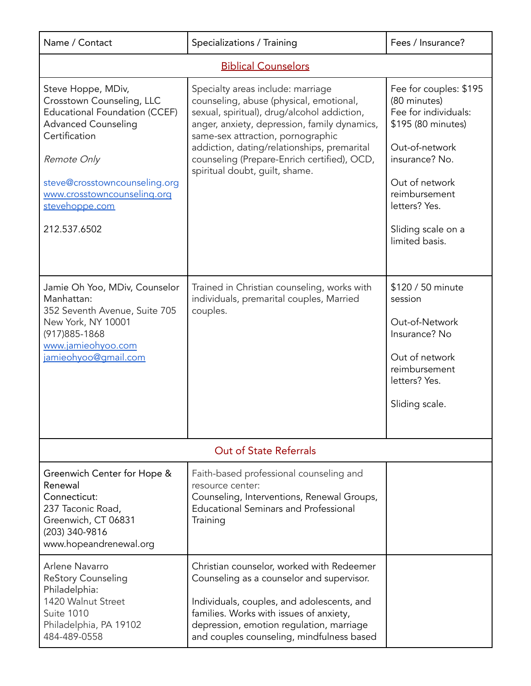| Name / Contact                                                                                                                                                                                                                                          | Specializations / Training                                                                                                                                                                                                                                                                                                                       | Fees / Insurance?                                                                                                                                                                                                    |  |  |
|---------------------------------------------------------------------------------------------------------------------------------------------------------------------------------------------------------------------------------------------------------|--------------------------------------------------------------------------------------------------------------------------------------------------------------------------------------------------------------------------------------------------------------------------------------------------------------------------------------------------|----------------------------------------------------------------------------------------------------------------------------------------------------------------------------------------------------------------------|--|--|
|                                                                                                                                                                                                                                                         | <b>Biblical Counselors</b>                                                                                                                                                                                                                                                                                                                       |                                                                                                                                                                                                                      |  |  |
| Steve Hoppe, MDiv,<br>Crosstown Counseling, LLC<br><b>Educational Foundation (CCEF)</b><br><b>Advanced Counseling</b><br>Certification<br>Remote Only<br>steve@crosstowncounseling.org<br>www.crosstowncounseling.org<br>stevehoppe.com<br>212.537.6502 | Specialty areas include: marriage<br>counseling, abuse (physical, emotional,<br>sexual, spiritual), drug/alcohol addiction,<br>anger, anxiety, depression, family dynamics,<br>same-sex attraction, pornographic<br>addiction, dating/relationships, premarital<br>counseling (Prepare-Enrich certified), OCD,<br>spiritual doubt, guilt, shame. | Fee for couples: \$195<br>(80 minutes)<br>Fee for individuals:<br>\$195 (80 minutes)<br>Out-of-network<br>insurance? No.<br>Out of network<br>reimbursement<br>letters? Yes.<br>Sliding scale on a<br>limited basis. |  |  |
| Jamie Oh Yoo, MDiv, Counselor<br>Manhattan:<br>352 Seventh Avenue, Suite 705<br>New York, NY 10001<br>(917) 885-1868<br>www.jamieohyoo.com<br>jamieohyoo@gmail.com                                                                                      | Trained in Christian counseling, works with<br>individuals, premarital couples, Married<br>couples.                                                                                                                                                                                                                                              | \$120 / 50 minute<br>session<br>Out-of-Network<br>Insurance? No<br>Out of network<br>reimbursement<br>letters? Yes.<br>Sliding scale.                                                                                |  |  |
|                                                                                                                                                                                                                                                         | <b>Out of State Referrals</b>                                                                                                                                                                                                                                                                                                                    |                                                                                                                                                                                                                      |  |  |
| Greenwich Center for Hope &<br>Renewal<br>Connecticut:<br>237 Taconic Road,<br>Greenwich, CT 06831<br>(203) 340-9816<br>www.hopeandrenewal.org                                                                                                          | Faith-based professional counseling and<br>resource center:<br>Counseling, Interventions, Renewal Groups,<br><b>Educational Seminars and Professional</b><br>Training                                                                                                                                                                            |                                                                                                                                                                                                                      |  |  |
| Arlene Navarro<br><b>ReStory Counseling</b><br>Philadelphia:<br>1420 Walnut Street<br><b>Suite 1010</b><br>Philadelphia, PA 19102<br>484-489-0558                                                                                                       | Christian counselor, worked with Redeemer<br>Counseling as a counselor and supervisor.<br>Individuals, couples, and adolescents, and<br>families. Works with issues of anxiety,<br>depression, emotion regulation, marriage<br>and couples counseling, mindfulness based                                                                         |                                                                                                                                                                                                                      |  |  |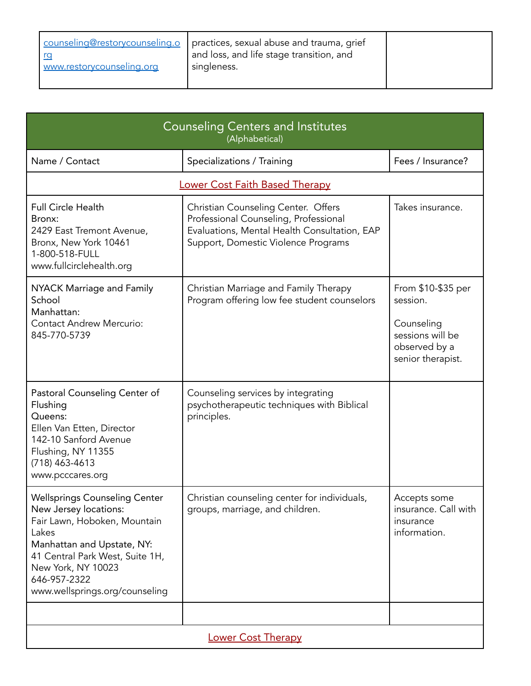| www.restorycounseling.org | counseling@restorycounseling.o   practices, sexual abuse and trauma, grief<br>and loss, and life stage transition, and<br>singleness. |  |
|---------------------------|---------------------------------------------------------------------------------------------------------------------------------------|--|
|---------------------------|---------------------------------------------------------------------------------------------------------------------------------------|--|

| <b>Counseling Centers and Institutes</b><br>(Alphabetical)                                                                                                                                                                                      |                                                                                                                                                                     |                                                                                                        |
|-------------------------------------------------------------------------------------------------------------------------------------------------------------------------------------------------------------------------------------------------|---------------------------------------------------------------------------------------------------------------------------------------------------------------------|--------------------------------------------------------------------------------------------------------|
| Name / Contact                                                                                                                                                                                                                                  | Specializations / Training                                                                                                                                          | Fees / Insurance?                                                                                      |
|                                                                                                                                                                                                                                                 | <b>Lower Cost Faith Based Therapy</b>                                                                                                                               |                                                                                                        |
| <b>Full Circle Health</b><br>Bronx:<br>2429 East Tremont Avenue,<br>Bronx, New York 10461<br>1-800-518-FULL<br>www.fullcirclehealth.org                                                                                                         | Christian Counseling Center. Offers<br>Professional Counseling, Professional<br>Evaluations, Mental Health Consultation, EAP<br>Support, Domestic Violence Programs | Takes insurance.                                                                                       |
| NYACK Marriage and Family<br>School<br>Manhattan:<br><b>Contact Andrew Mercurio:</b><br>845-770-5739                                                                                                                                            | Christian Marriage and Family Therapy<br>Program offering low fee student counselors                                                                                | From \$10-\$35 per<br>session.<br>Counseling<br>sessions will be<br>observed by a<br>senior therapist. |
| Pastoral Counseling Center of<br>Flushing<br>Queens:<br>Ellen Van Etten, Director<br>142-10 Sanford Avenue<br>Flushing, NY 11355<br>$(718)$ 463-4613<br>www.pcccares.org                                                                        | Counseling services by integrating<br>psychotherapeutic techniques with Biblical<br>principles.                                                                     |                                                                                                        |
| <b>Wellsprings Counseling Center</b><br>New Jersey locations:<br>Fair Lawn, Hoboken, Mountain<br>Lakes<br>Manhattan and Upstate, NY:<br>41 Central Park West, Suite 1H,<br>New York, NY 10023<br>646-957-2322<br>www.wellsprings.org/counseling | Christian counseling center for individuals,<br>groups, marriage, and children.                                                                                     | Accepts some<br>insurance. Call with<br>insurance<br>information.                                      |
| Lower Cost Therapy                                                                                                                                                                                                                              |                                                                                                                                                                     |                                                                                                        |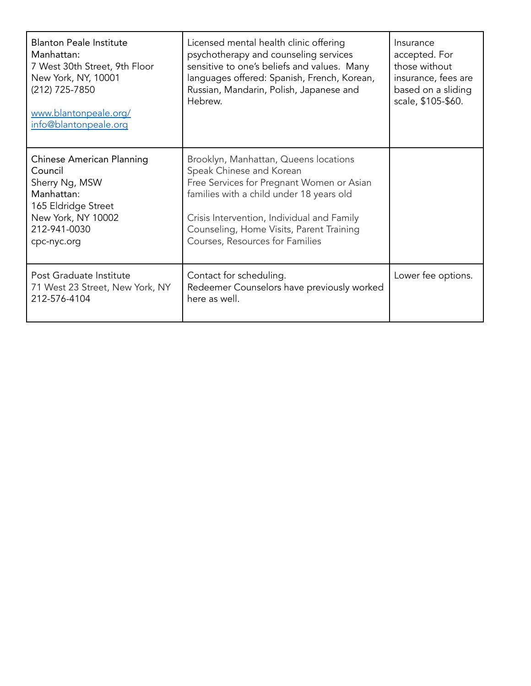| <b>Blanton Peale Institute</b><br>Manhattan:<br>7 West 30th Street, 9th Floor<br>New York, NY, 10001<br>(212) 725-7850<br>www.blantonpeale.org/<br>info@blantonpeale.org | Licensed mental health clinic offering<br>psychotherapy and counseling services<br>sensitive to one's beliefs and values. Many<br>languages offered: Spanish, French, Korean,<br>Russian, Mandarin, Polish, Japanese and<br>Hebrew.                                                     | Insurance<br>accepted. For<br>those without<br>insurance, fees are<br>based on a sliding<br>scale, \$105-\$60. |
|--------------------------------------------------------------------------------------------------------------------------------------------------------------------------|-----------------------------------------------------------------------------------------------------------------------------------------------------------------------------------------------------------------------------------------------------------------------------------------|----------------------------------------------------------------------------------------------------------------|
| <b>Chinese American Planning</b><br>Council<br>Sherry Ng, MSW<br>Manhattan:<br>165 Eldridge Street<br>New York, NY 10002<br>212-941-0030<br>cpc-nyc.org                  | Brooklyn, Manhattan, Queens locations<br>Speak Chinese and Korean<br>Free Services for Pregnant Women or Asian<br>families with a child under 18 years old<br>Crisis Intervention, Individual and Family<br>Counseling, Home Visits, Parent Training<br>Courses, Resources for Families |                                                                                                                |
| Post Graduate Institute<br>71 West 23 Street, New York, NY<br>212-576-4104                                                                                               | Contact for scheduling.<br>Redeemer Counselors have previously worked<br>here as well.                                                                                                                                                                                                  | Lower fee options.                                                                                             |